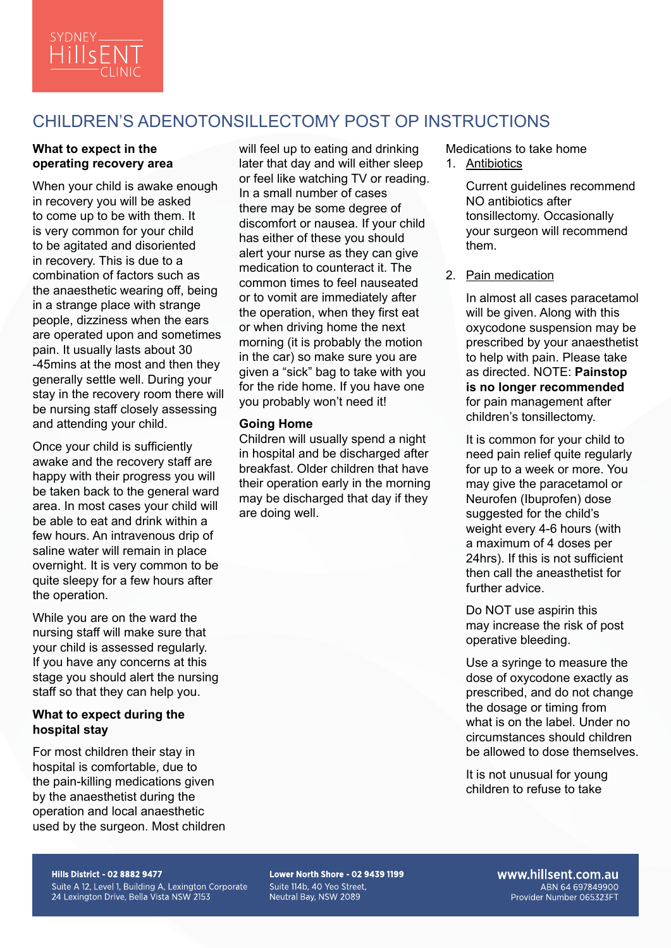

# CHILDREN'S ADENOTONSILLECTOMY POST OP INSTRUCTIONS

## **What to expect in the operating recovery area**

When your child is awake enough in recovery you will be asked to come up to be with them. It is very common for your child to be agitated and disoriented in recovery. This is due to a combination of factors such as the anaesthetic wearing off, being in a strange place with strange people, dizziness when the ears are operated upon and sometimes pain. It usually lasts about 30 -45mins at the most and then they generally settle well. During your stay in the recovery room there will be nursing staff closely assessing and attending your child.

Once your child is sufficiently awake and the recovery staff are happy with their progress you will be taken back to the general ward area. In most cases your child will be able to eat and drink within a few hours. An intravenous drip of saline water will remain in place overnight. It is very common to be quite sleepy for a few hours after the operation.

While you are on the ward the nursing staff will make sure that your child is assessed regularly. If you have any concerns at this stage you should alert the nursing staff so that they can help you.

### **What to expect during the hospital stay**

For most children their stay in hospital is comfortable, due to the pain-killing medications given by the anaesthetist during the operation and local anaesthetic used by the surgeon. Most children

will feel up to eating and drinking later that day and will either sleep or feel like watching TV or reading. In a small number of cases there may be some degree of discomfort or nausea. If your child has either of these you should alert your nurse as they can give medication to counteract it. The common times to feel nauseated or to vomit are immediately after the operation, when they first eat or when driving home the next morning (it is probably the motion in the car) so make sure you are given a "sick" bag to take with you for the ride home. If you have one you probably won't need it!

### **Going Home**

Children will usually spend a night in hospital and be discharged after breakfast. Older children that have their operation early in the morning may be discharged that day if they are doing well.

Medications to take home

1. Antibiotics

Current guidelines recommend NO antibiotics after tonsillectomy. Occasionally your surgeon will recommend them.

2. Pain medication

In almost all cases paracetamol will be given. Along with this oxycodone suspension may be prescribed by your anaesthetist to help with pain. Please take as directed. NOTE: **Painstop is no longer recommended** for pain management after children's tonsillectomy.

It is common for your child to need pain relief quite regularly for up to a week or more. You may give the paracetamol or Neurofen (Ibuprofen) dose suggested for the child's weight every 4-6 hours (with a maximum of 4 doses per 24hrs). If this is not sufficient then call the aneasthetist for further advice.

Do NOT use aspirin this may increase the risk of post operative bleeding.

Use a syringe to measure the dose of oxycodone exactly as prescribed, and do not change the dosage or timing from what is on the label. Under no circumstances should children be allowed to dose themselves.

It is not unusual for young children to refuse to take

**Hills District - 02 8882 9477** 

Suite A 12, Level 1, Building A, Lexington Corporate 24 Lexington Drive, Bella Vista NSW 2153

Lower North Shore - 02 9439 1199 Suite 114b, 40 Yeo Street. Neutral Bay, NSW 2089

www.hillsent.com.au ABN 64 697849900 Provider Number 065323FT